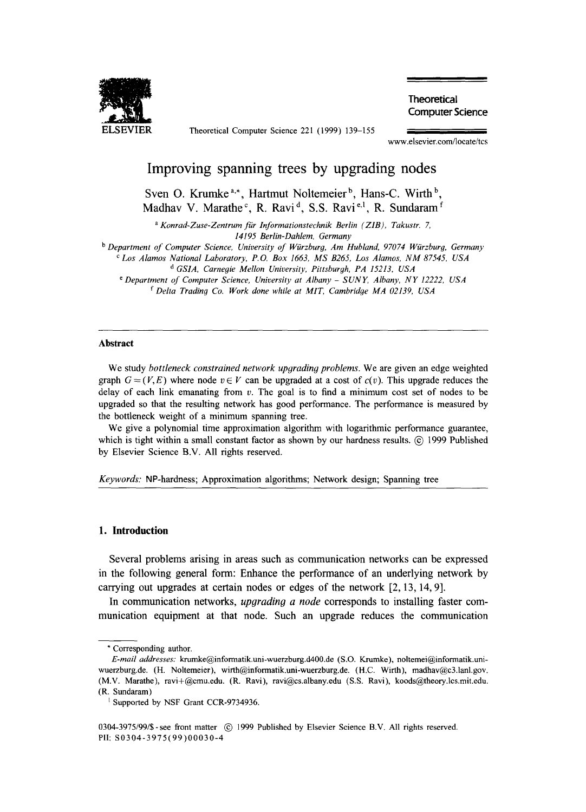

**ELSEVIER** Theoretical Computer Science 221 (1999) 139-155

**Theoretical Computer Science** 

www.elsevier.com/locate/tcs

# **Improving spanning trees by upgrading nodes**

Sven O. Krumke<sup>a,\*</sup>, Hartmut Noltemeier<sup>b</sup>, Hans-C. Wirth<sup>b</sup>, Madhav V. Marathe<sup>c</sup>, R. Ravi<sup>d</sup>, S.S. Ravi<sup>e,1</sup>, R. Sundaram<sup>f</sup>

*a Konrad-Zuse-Zentrum fiir Informationstechnik Berlin (ZIB), Takustr. 7, 14195 Berlin-Dahlem, Germany* 

<sup>b</sup> Department of Computer Science, University of Würzburg, Am Hubland, 97074 Würzburg, Germany

*c Los Alamos National Laboratory, P.O. Box 1663, MS B265, Los Alamos, NM 87545, USA* 

*d GSIA, Carnegie Mellon University, Pittsburgh, PA 15213, USA* 

*e Department of Computer Science, University at Albany - SUNY, Albany, NY 12222, USA f Delta Trading Co. Work done while at MIT, Cambridge MA 02139, USA* 

#### **Abstract**

We study *bottleneck constrained network upgrading problems*. We are given an edge weighted graph  $G = (V, E)$  where node  $v \in V$  can be upgraded at a cost of  $c(v)$ . This upgrade reduces the delay of each link emanating from  $v$ . The goal is to find a minimum cost set of nodes to be upgraded so that the resulting network has good performance. The performance is measured by the bottleneck weight of a minimum spanning tree.

We give a polynomial time approximation algorithm with logarithmic performance guarantee, which is tight within a small constant factor as shown by our hardness results.  $\odot$  1999 Published by Elsevier Science B.V. All rights reserved.

*Keywords:* NP-hardness; Approximation algorithms; Network design; Spanning tree

#### **1. Introduction**

**Several problems arising in areas such as communication networks can be expressed in the following general form: Enhance the performance of an underlying network by carrying out upgrades at certain nodes or edges of the network [2, 13, 14, 9].** 

**In communication networks,** *upgrading a node* **corresponds to installing faster communication equipment at that node. Such an upgrade reduces the communication** 

<sup>\*</sup> Corresponding author.

*E-mail addresses:* krumke@informatik.uni-wuerzburg.d400.de (S.O. Krumke), noltemei@informatik.uniwuerzburg.de. (H. Noltemeier), wirth@informatik.uni-wuerzburg.de. (H.C. Wirth), madhav@c3.1anl.gov. (M.V. Marathe), ravi+@cmu,edu. (R. Ravi), ravi@cs.albany.edu (S.S. Ravi), koods@theory.lcs,mit.edu. (R. Sundaram)

<sup>&</sup>lt;sup>1</sup> Supported by NSF Grant CCR-9734936.

<sup>0304-3975/99/\$ -</sup> see front matter (c) 1999 Published by Elsevier Science B.V. All rights reserved. PII: S0304-3975(99)00030-4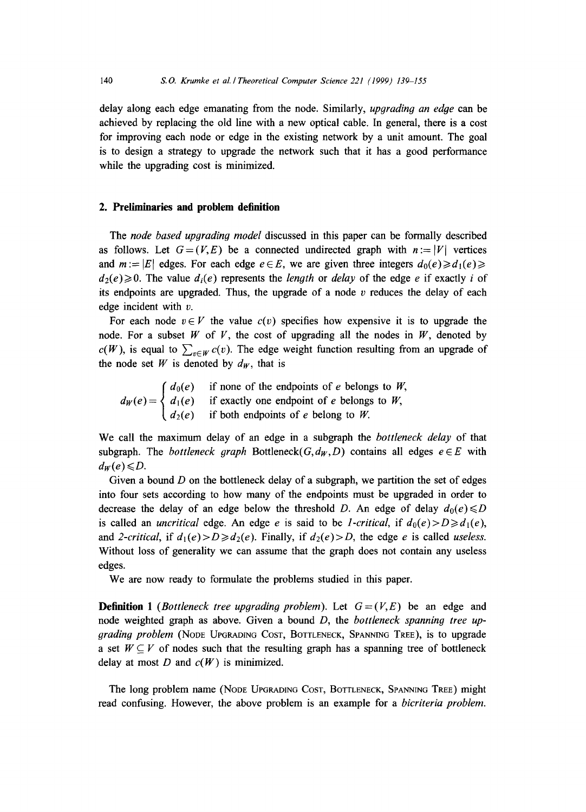delay along each edge emanating from the node. Similarly, *upgradin9 an edge* can be achieved by replacing the old line with a new optical cable. In general, there is a cost for improving each node or edge in the existing network by a unit amount. The goal is to design a strategy to upgrade the network such that it has a good performance while the upgrading cost is minimized.

# **2. Preliminaries and problem definition**

The *node based upgradin9 model* discussed in this paper can be formally described as follows. Let  $G=(V,E)$  be a connected undirected graph with  $n:=|V|$  vertices and  $m := |E|$  edges. For each edge  $e \in E$ , we are given three integers  $d_0(e) \ge d_1(e) \ge$ .  $d_2(e) \ge 0$ . The value  $d_i(e)$  represents the *length* or *delay* of the edge e if exactly i of its endpoints are upgraded. Thus, the upgrade of a node  $v$  reduces the delay of each edge incident with  $v$ .

For each node  $v \in V$  the value  $c(v)$  specifies how expensive it is to upgrade the node. For a subset  $W$  of  $V$ , the cost of upgrading all the nodes in  $W$ , denoted by  $c(W)$ , is equal to  $\sum_{v \in W} c(v)$ . The edge weight function resulting from an upgrade of the node set W is denoted by  $d_W$ , that is

 $d_0(e)$  if none of the endpoints of e belongs to W,  $d_W(e) = \langle d_1(e)$  if exactly one endpoint of e belongs to W,  $d_2(e)$  if both endpoints of e belong to W.

We call the maximum delay of an edge in a subgraph the *bottleneck delay* of that subgraph. The *bottleneck graph* Bottleneck( $G, d_W, D$ ) contains all edges  $e \in E$  with  $d_w(e) \le D$ .

Given a bound  $D$  on the bottleneck delay of a subgraph, we partition the set of edges into four sets according to how many of the endpoints must be upgraded in order to decrease the delay of an edge below the threshold D. An edge of delay  $d_0(e) \le D$ is called an *uncritical* edge. An edge *e* is said to be *1-critical*, if  $d_0(e) > D \ge d_1(e)$ , and *2-critical,* if  $d_1(e) > D \geq d_2(e)$ . Finally, if  $d_2(e) > D$ , the edge e is called *useless.* Without loss of generality we can assume that the graph does not contain any useless edges.

We are now ready to formulate the problems studied in this paper.

**Definition 1** *(Bottleneck tree upgrading problem).* Let  $G=(V,E)$  be an edge and node weighted graph as above. Given a bound D, the *bottleneck spannin9 tree up-9rodin9 problem* (NODE UPGRADING COST, BOTTLENECK, SPANNING TREE), is to upgrade a set  $W \subseteq V$  of nodes such that the resulting graph has a spanning tree of bottleneck delay at most  $D$  and  $c(W)$  is minimized.

The long problem name (NODE UPGRADING COST, BOTTLENECK, SPANNING TREE) might read confusing. However, the above problem is an example for a *bicriteria problem.*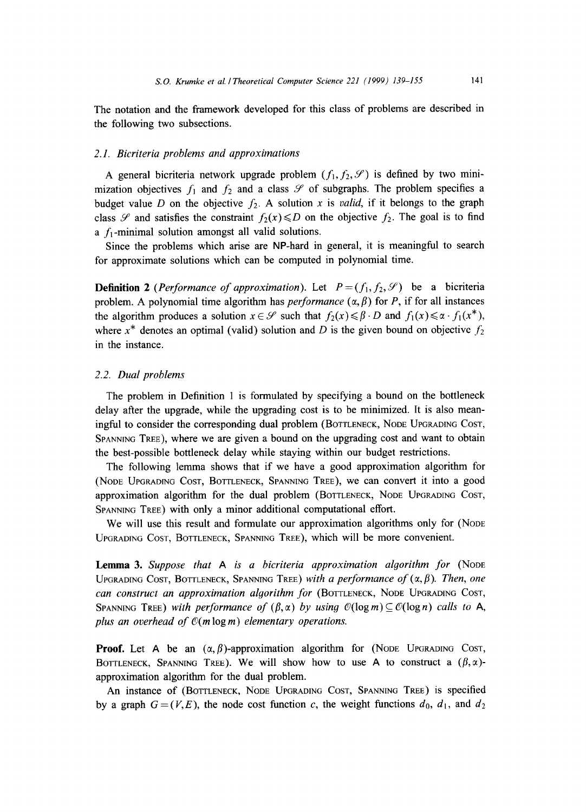The notation and the framework developed for this class of problems are described in the following two subsections.

#### *2.1. Bicriteria problems and approximations*

A general bicriteria network upgrade problem  $(f_1, f_2, \mathcal{S})$  is defined by two minimization objectives  $f_1$  and  $f_2$  and a class  $\mathscr S$  of subgraphs. The problem specifies a budget value D on the objective  $f_2$ . A solution x is *valid*, if it belongs to the graph class  $\mathscr S$  and satisfies the constraint  $f_2(x) \le D$  on the objective  $f_2$ . The goal is to find a  $f_1$ -minimal solution amongst all valid solutions.

Since the problems which arise are NP-hard in general, it is meaningful to search for approximate solutions which can be computed in polynomial time.

**Definition 2** *(Performance of approximation).* Let  $P = (f_1, f_2, \mathcal{S})$  be a bicriteria problem. A polynomial time algorithm has *performance*  $(\alpha, \beta)$  for P, if for all instances the algorithm produces a solution  $x \in \mathcal{S}$  such that  $f_2(x) \leq \beta \cdot D$  and  $f_1(x) \leq \alpha \cdot f_1(x^*)$ , where  $x^*$  denotes an optimal (valid) solution and D is the given bound on objective  $f_2$ in the instance.

## *2.2. Dual problems*

The problem in Definition 1 is formulated by specifying a bound on the bottleneck delay after the upgrade, while the upgrading cost is to be minimized. It is also meaningful to consider the corresponding dual problem (BOTTLENECK, NODE UPGRADING COST, SPANNING TREE), where we are given a bound on the upgrading cost and want to obtain the best-possible bottleneck delay while staying within our budget restrictions.

The following lemma shows that if we have a good approximation algorithm for (NODE UPGRADING COST, BOTTLENECK, SPANNING TREE), we can convert it into a good approximation algorithm for the dual problem (BOTTLENECK, NODE UPGRADING COST, SPANNING TREE) with only a minor additional computational effort.

We will use this result and formulate our approximation algorithms only for (NoDE) UPGRADING COST, BOTTLENECK, SPANNING TREE), which will be more convenient.

Lemma 3. Suppose that A is a bicriteria approximation algorithm for (Node UPGRADING COST, BOTTLENECK, SPANNING TREE) with a performance of  $(\alpha, \beta)$ . Then, one *can construct an approximation algorithm for* (BOTTLENECK, NODE UPGRADING COST, SPANNING TREE) with performance of  $(\beta,\alpha)$  by using  $\mathcal{O}(\log m) \subseteq \mathcal{O}(\log n)$  calls to A, *plus an overhead of*  $O(m \log m)$  *elementary operations.* 

**Proof.** Let A be an  $(\alpha, \beta)$ -approximation algorithm for (NODE UPGRADING COST, BOTTLENECK, SPANNING TREE). We will show how to use A to construct a  $(\beta, \alpha)$ approximation algorithm for the dual problem.

An instance of (BOTTLENECK, NODE UPGRADING COST, SPANNING TREE) is specified by a graph  $G=(V, E)$ , the node cost function c, the weight functions  $d_0$ ,  $d_1$ , and  $d_2$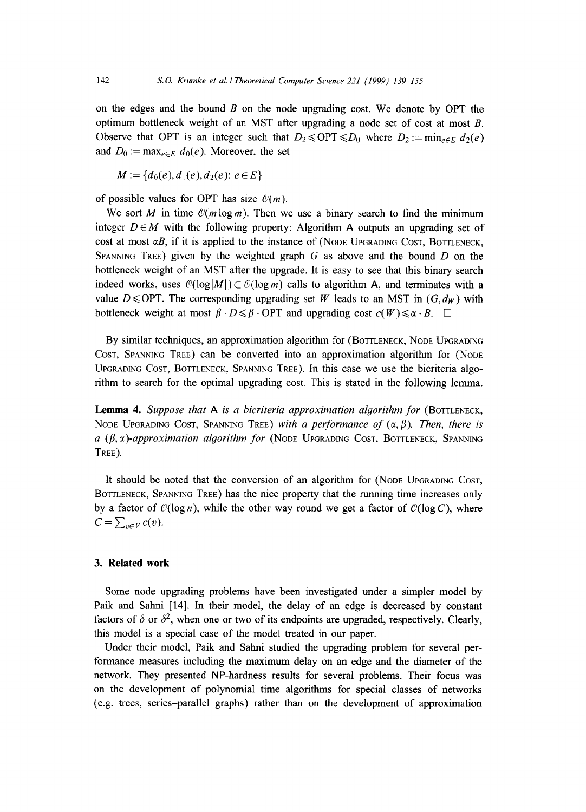on the edges and the bound  $\hat{B}$  on the node upgrading cost. We denote by OPT the optimum bottleneck weight of an MST after upgrading a node set of cost at most B. Observe that OPT is an integer such that  $D_2 \leq OPT \leq D_0$  where  $D_2 := \min_{e \in E} d_2(e)$ and  $D_0 := \max_{e \in E} d_0(e)$ . Moreover, the set

$$
M := \{d_0(e), d_1(e), d_2(e): e \in E\}
$$

of possible values for OPT has size  $\mathcal{O}(m)$ .

We sort M in time  $\mathcal{O}(m \log m)$ . Then we use a binary search to find the minimum integer  $D \in M$  with the following property: Algorithm A outputs an upgrading set of cost at most  $\alpha B$ , if it is applied to the instance of (NODE UPGRADING COST, BOTTLENECK, SPANNING TREE) given by the weighted graph  $G$  as above and the bound  $D$  on the bottleneck weight of an MST after the upgrade. It is easy to see that this binary search indeed works, uses  $\mathcal{O}(\log|M|) \subset \mathcal{O}(\log m)$  calls to algorithm A, and terminates with a value D  $\le$  OPT. The corresponding upgrading set W leads to an MST in  $(G, d_W)$  with bottleneck weight at most  $\beta \cdot D \leq \beta \cdot \text{OPT}$  and upgrading cost  $c(W) \leq \alpha \cdot B$ .  $\square$ 

By similar techniques, an approximation algorithm for (BOTTLENECK, NODE UPGRADING COST, SPANNING TREE) can be converted into an approximation algorithm for (NODE UPGRADING COST, BOTTLENECK, SPANNING TREE). In this case we use the bicriteria algorithm to search for the optimal upgrading cost. This is stated in the following lemma.

Lemma 4. Suppose that A is a bicriteria approximation algorithm for (BOTTLENECK, NODE UPGRADING COST, SPANNING TREE) *with a performance of*  $(\alpha, \beta)$ . Then, there is  $a$  ( $\beta$ , $\alpha$ )-approximation algorithm for (NODE UPGRADING COST, BOTTLENECK, SPANNING TREE).

It should be noted that the conversion of an algorithm for (NODE UPGRADING COST, BOTTLENECK, SPANNING TREE) has the nice property that the running time increases only by a factor of  $\mathcal{O}(\log n)$ , while the other way round we get a factor of  $\mathcal{O}(\log C)$ , where  $C=\sum_{v\in V} c(v).$ 

### **3. Related work**

Some node upgrading problems have been investigated under a simpler model by Paik and Sahni [14]. In their model, the delay of an edge is decreased by constant factors of  $\delta$  or  $\delta^2$ , when one or two of its endpoints are upgraded, respectively. Clearly, this model is a special case of the model treated in our paper.

Under their model, Paik and Sahni studied the upgrading problem for several performance measures including the maximum delay on an edge and the diameter of the network. They presented NP-hardness results for several problems. Their focus was on the development of polynomial time algorithms for special classes of networks (e.g. trees, series-parallel graphs) rather than on the development of approximation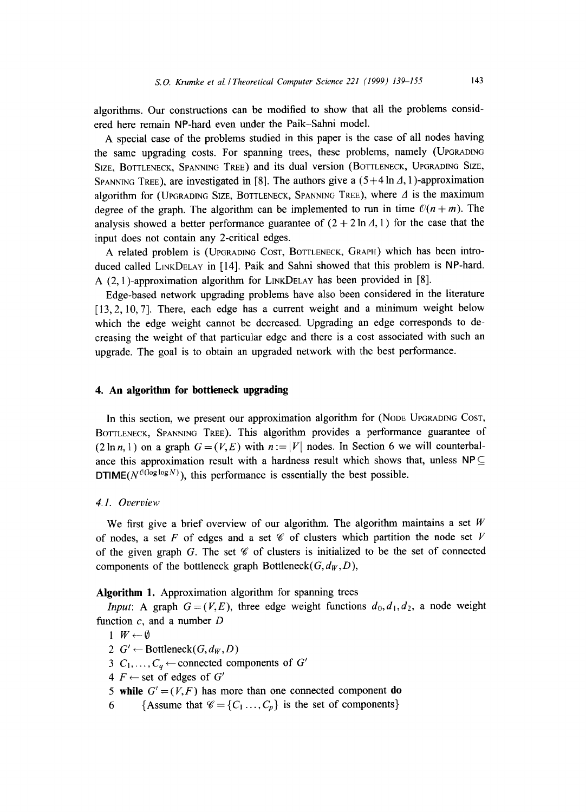algorithms. Our constructions can be modified to show that all the problems considered here remain NP-hard even under the Paik-Sahni model.

A special case of the problems studied in this paper is the case of all nodes having the same upgrading costs. For spanning trees, these problems, namely (UPGRADING SIZE, BOTTLENECK, SPANNING TREE) and its dual version (BOTTLENECK, UPGRADING SIZE, SPANNING TREE), are investigated in [8]. The authors give a  $(5+4 \ln A, 1)$ -approximation algorithm for (UPGRADING SIZE, BOTTLENECK, SPANNING TREE), where  $\Delta$  is the maximum degree of the graph. The algorithm can be implemented to run in time  $\mathcal{O}(n + m)$ . The analysis showed a better performance guarantee of  $(2 + 2 \ln \Lambda, 1)$  for the case that the input does not contain any 2-critical edges.

A related problem is (UPGRADING COST, BOTTLENECK, GRAPH) which has been introduced called LINKDELAY in [14]. Paik and Sahni showed that this problem is NP-hard. A (2, 1)-approximation algorithm for LINKDELAY has been provided in [8].

Edge-based network upgrading problems have also been considered in the literature [13, 2, 10, 7]. There, each edge has a current weight and a minimum weight below which the edge weight cannot be decreased. Upgrading an edge corresponds to decreasing the weight of that particular edge and there is a cost associated with such an upgrade. The goal is to obtain an upgraded network with the best performance.

## **4. An algorithm for bottleneck upgrading**

In this section, we present our approximation algorithm for (NODE UPGRADING COST, BOTTLENECK, SPANNING TREE). This algorithm provides a performance guarantee of  $(2 \ln n, 1)$  on a graph  $G = (V, E)$  with  $n := |V|$  nodes. In Section 6 we will counterbalance this approximation result with a hardness result which shows that, unless  $NP \subseteq$ DTIME( $N^{\mathcal{O}(\log \log N)}$ ), this performance is essentially the best possible.

#### *4.1. Overview*

We first give a brief overview of our algorithm. The algorithm maintains a set  $W$ of nodes, a set F of edges and a set  $\mathscr C$  of clusters which partition the node set V of the given graph G. The set  $\mathscr C$  of clusters is initialized to be the set of connected components of the bottleneck graph  $Bottleneck(G, d_W, D)$ ,

**Algorithm** 1. Approximation algorithm for spanning trees

*Input:* A graph  $G=(V, E)$ , three edge weight functions  $d_0, d_1, d_2$ , a node weight function  $c$ , and a number  $D$ 

- $1 \ W \leftarrow \emptyset$
- 2  $G' \leftarrow$  Bottleneck( $G, d_W, D$ )
- 3  $C_1, \ldots, C_q \leftarrow$  connected components of  $G'$
- $4 F \leftarrow$  set of edges of  $G'$
- 5 while  $G' = (V, F)$  has more than one connected component **do**
- 6 {Assume that  $\mathscr{C} = \{C_1 \ldots, C_p\}$  is the set of components}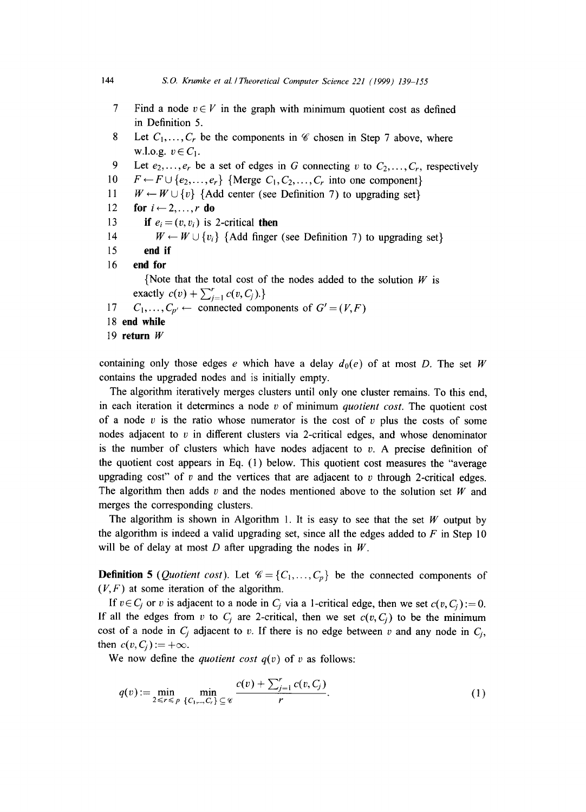- 7 Find a node  $v \in V$  in the graph with minimum quotient cost as defined in Definition 5.
- 8 Let  $C_1, \ldots, C_r$  be the components in  $\mathscr C$  chosen in Step 7 above, where w.l.o.g.  $v \in C_1$ .
- 9 Let  $e_2, \ldots, e_r$  be a set of edges in G connecting v to  $C_2, \ldots, C_r$ , respectively
- 10  $F \leftarrow F \cup \{e_2, \ldots, e_r\}$  {Merge  $C_1, C_2, \ldots, C_r$  into one component}
- 11  $W \leftarrow W \cup \{v\}$  {Add center (see Definition 7) to upgrading set}
- 12 for  $i \leftarrow 2, ..., r$  do
- 13 if  $e_i = (v, v_i)$  is 2-critical then
- 14  $W \leftarrow W \cup \{v_i\}$  {Add finger (see Definition 7) to upgrading set}
- **15 end if**
- **16 end for**

{Note that the total cost of the nodes added to the solution  $W$  is exactly  $c(v) + \sum_{i=1}^{r} c(v, C_i)$ .

- 17  $C_1, \ldots, C_{p'} \leftarrow$  connected components of  $G'=(V, F)$
- **18 end while**
- **19 return W**

containing only those edges e which have a delay  $d_0(e)$  of at most D. The set W contains the upgraded nodes and is initially empty.

The algorithm iteratively merges clusters until only one cluster remains. To this end, in each iteration it determines a node v of minimum *quotient cost.* The quotient cost of a node v is the ratio whose numerator is the cost of v plus the costs of some nodes adjacent to  $v$  in different clusters via 2-critical edges, and whose denominator is the number of clusters which have nodes adjacent to  $v$ . A precise definition of the quotient cost appears in Eq. (1) below. This quotient cost measures the "average upgrading cost" of v and the vertices that are adjacent to v through 2-critical edges. The algorithm then adds v and the nodes mentioned above to the solution set  $W$  and merges the corresponding clusters.

The algorithm is shown in Algorithm 1. It is easy to see that the set W output by the algorithm is indeed a valid upgrading set, since all the edges added to  $F$  in Step 10 will be of delay at most  $D$  after upgrading the nodes in  $W$ .

**Definition 5** (*Quotient cost*). Let  $\mathcal{C} = \{C_1, \ldots, C_p\}$  be the connected components of  $(V, F)$  at some iteration of the algorithm.

If  $v \in C_j$  or v is adjacent to a node in  $C_i$  via a 1-critical edge, then we set  $c(v, C_i) := 0$ . If all the edges from v to  $C_i$  are 2-critical, then we set  $c(v, C_i)$  to be the minimum cost of a node in  $C_i$  adjacent to v. If there is no edge between v and any node in  $C_i$ , then  $c(v, C_i) := +\infty$ .

We now define the *quotient cost*  $q(v)$  of v as follows:

$$
q(v) := \min_{2 \leq r \leq p} \min_{\{C_1, \dots, C_r\} \subseteq \mathcal{C}} \frac{c(v) + \sum_{j=1}^r c(v, C_j)}{r}.
$$
 (1)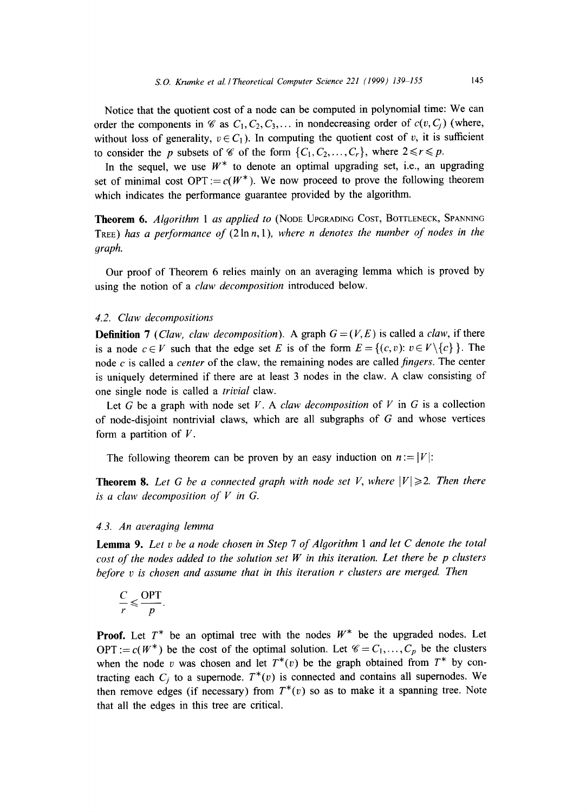Notice that the quotient cost of a node can be computed in polynomial time: We can order the components in  $\mathscr{C}$  as  $C_1, C_2, C_3, \ldots$  in nondecreasing order of  $c(v, C_i)$  (where, without loss of generality,  $v \in C_1$ ). In computing the quotient cost of v, it is sufficient to consider the p subsets of  $\mathscr C$  of the form  $\{C_1, C_2, \ldots, C_r\}$ , where  $2 \le r \le p$ .

In the sequel, we use  $W^*$  to denote an optimal upgrading set, i.e., an upgrading set of minimal cost OPT :=  $c(W^*)$ . We now proceed to prove the following theorem which indicates the performance guarantee provided by the algorithm.

**Theorem** 6. *Algorithm 1 as applied to* (NODE UPGRADING COST, BOTTLENECK, SPANNING TREE) has a performance of  $(2 \ln n, 1)$ , where n denotes the number of nodes in the *graph.* 

Our proof of Theorem 6 relies mainly on an averaging lemma which is proved by using the notion of a *claw decomposition* introduced below.

# *4.2. Claw decompositions*

**Definition 7** *(Claw, claw decomposition).* A graph  $G = (V, E)$  is called a *claw*, if there is a node  $c \in V$  such that the edge set E is of the form  $E = \{(c, v): v \in V \setminus \{c\}\}\.$  The node c is called a *center* of the claw, the remaining nodes are called *fingers.* The center is uniquely determined if there are at least 3 nodes in the claw. A claw consisting of one single node is called a *trivial* claw.

Let G be a graph with node set V. A *claw decomposition* of V in G is a collection of node-disjoint nontrivial claws, which are all subgraphs of  $G$  and whose vertices form a partition of  $V$ .

The following theorem can be proven by an easy induction on  $n := |V|$ :

**Theorem 8.** Let G be a connected graph with node set V, where  $|V| \ge 2$ . Then there  $is a$  *claw decomposition of*  $V$  *in G.* 

# *4.3. An averaging lemma*

Lemma 9. *Let v be a node chosen in Step 7 of Algorithm 1 and let C denote the total cost of the nodes added to the solution set W in this iteration. Let there be p clusters before v is chosen and assume that in this iteration r clusters are merged. Then* 

$$
\frac{C}{r} \leqslant \frac{\text{OPT}}{p}
$$

**Proof.** Let  $T^*$  be an optimal tree with the nodes  $W^*$  be the upgraded nodes. Let OPT :=  $c(W^*)$  be the cost of the optimal solution. Let  $C = C_1, \ldots, C_p$  be the clusters when the node v was chosen and let  $T^*(v)$  be the graph obtained from  $T^*$  by contracting each  $C_i$  to a supernode.  $T^*(v)$  is connected and contains all supernodes. We then remove edges (if necessary) from  $T^*(v)$  so as to make it a spanning tree. Note that all the edges in this tree are critical.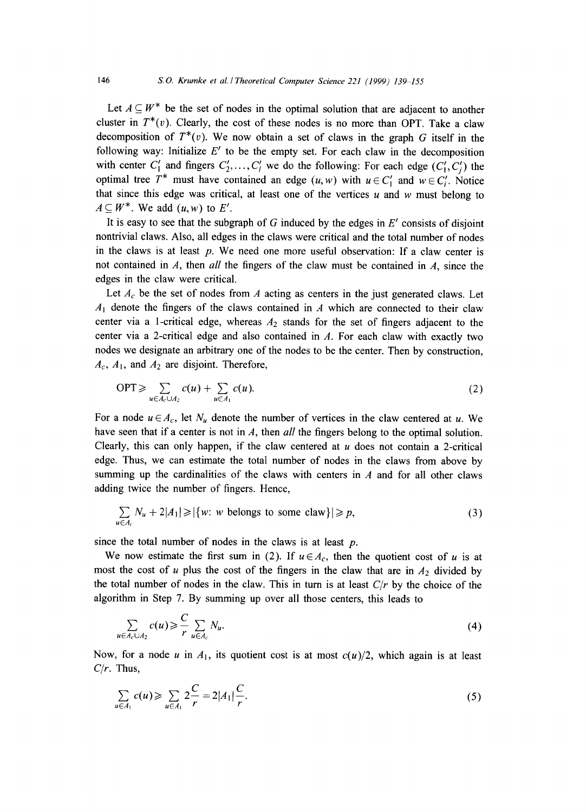Let  $A \subseteq W^*$  be the set of nodes in the optimal solution that are adjacent to another cluster in  $T^*(v)$ . Clearly, the cost of these nodes is no more than OPT. Take a claw decomposition of  $T^*(v)$ . We now obtain a set of claws in the graph G itself in the following way: Initialize  $E'$  to be the empty set. For each claw in the decomposition with center  $C'_1$  and fingers  $C'_2, \ldots, C'_l$  we do the following: For each edge  $(C'_1, C'_i)$  the optimal tree  $T^*$  must have contained an edge  $(u, w)$  with  $u \in C'_1$  and  $w \in C'_i$ . Notice that since this edge was critical, at least one of the vertices  $u$  and  $w$  must belong to  $A \subseteq W^*$ . We add  $(u, w)$  to E'.

It is easy to see that the subgraph of G induced by the edges in  $E'$  consists of disjoint nontrivial claws. Also, all edges in the claws were critical and the total number of nodes in the claws is at least  $p$ . We need one more useful observation: If a claw center is not contained in A, then all the fingers of the claw must be contained in  $A$ , since the edges in the claw were critical.

Let  $A_c$  be the set of nodes from A acting as centers in the just generated claws. Let  $A_1$  denote the fingers of the claws contained in A which are connected to their claw center via a 1-critical edge, whereas  $A_2$  stands for the set of fingers adjacent to the center via a 2-critical edge and also contained in  $A$ . For each claw with exactly two nodes we designate an arbitrary one of the nodes to be the center. Then by construction,  $A_c$ ,  $A_1$ , and  $A_2$  are disjoint. Therefore,

$$
\text{OPT} \geqslant \sum_{u \in A_c \cup A_2} c(u) + \sum_{u \in A_1} c(u). \tag{2}
$$

For a node  $u \in A_c$ , let  $N_u$  denote the number of vertices in the claw centered at u. We have seen that if a center is not in A, then *all* the fingers belong to the optimal solution. Clearly, this can only happen, if the claw centered at  $u$  does not contain a 2-critical edge. Thus, we can estimate the total number of nodes in the claws from above by summing up the cardinalities of the claws with centers in  $A$  and for all other claws adding twice the number of fingers. Hence,

$$
\sum_{u \in A_c} N_u + 2|A_1| \ge |\{w: w \text{ belongs to some claw}\}| \ge p,
$$
\n(3)

since the total number of nodes in the claws is at least  $p$ .

We now estimate the first sum in (2). If  $u \in A_c$ , then the quotient cost of u is at most the cost of u plus the cost of the fingers in the claw that are in  $A_2$  divided by the total number of nodes in the claw. This in turn is at least *C/r* by the choice of the algorithm in Step 7. By summing up over all those centers, this leads to

$$
\sum_{u \in A_c \cup A_2} c(u) \geqslant \frac{C}{r} \sum_{u \in A_c} N_u. \tag{4}
$$

Now, for a node u in  $A_1$ , its quotient cost is at most  $c(u)/2$ , which again is at least *C/r.* Thus,

$$
\sum_{u \in A_1} c(u) \geqslant \sum_{u \in A_1} 2\frac{C}{r} = 2|A_1| \frac{C}{r}.
$$
\n(5)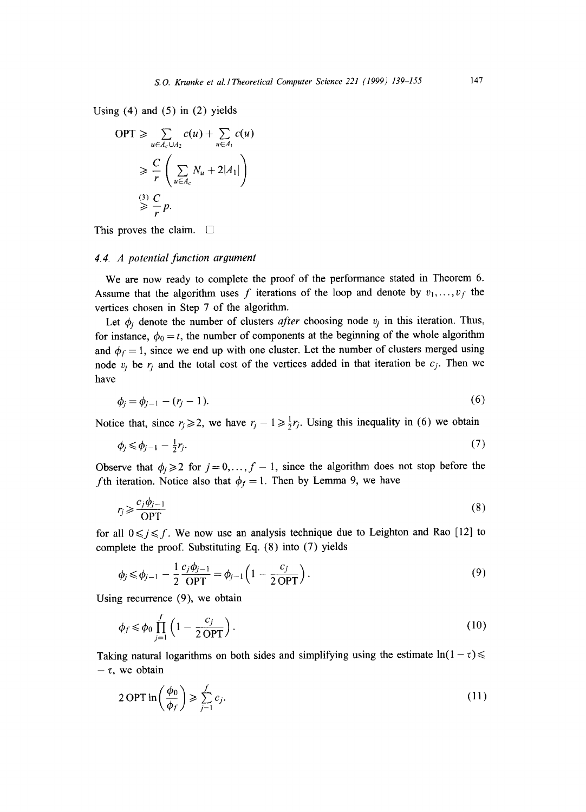Using  $(4)$  and  $(5)$  in  $(2)$  yields

$$
OPT \ge \sum_{u \in A_c \cup A_2} c(u) + \sum_{u \in A_1} c(u)
$$
  
\n
$$
\ge \frac{C}{r} \left( \sum_{u \in A_c} N_u + 2|A_1| \right)
$$
  
\n
$$
\stackrel{(3)}{\ge} \frac{C}{r} p.
$$

This proves the claim.  $\Box$ 

#### *4.4. A potential function argument*

We are now ready to complete the proof of the performance stated in Theorem 6. Assume that the algorithm uses f iterations of the loop and denote by  $v_1, \ldots, v_f$  the vertices chosen in Step 7 of the algorithm.

Let  $\phi_i$  denote the number of clusters *after* choosing node  $v_j$  in this iteration. Thus, for instance,  $\phi_0 = t$ , the number of components at the beginning of the whole algorithm and  $\phi_f = 1$ , since we end up with one cluster. Let the number of clusters merged using node  $v_i$  be  $r_i$  and the total cost of the vertices added in that iteration be  $c_j$ . Then we have

$$
\phi_i = \phi_{i-1} - (r_i - 1). \tag{6}
$$

Notice that, since  $r_i \ge 2$ , we have  $r_i - 1 \ge \frac{1}{2}r_i$ . Using this inequality in (6) we obtain

$$
\phi_j \leqslant \phi_{j-1} - \frac{1}{2}r_j. \tag{7}
$$

Observe that  $\phi_i \geq 2$  for  $j = 0, \ldots, f-1$ , since the algorithm does not stop before the *f*th iteration. Notice also that  $\phi_f = 1$ . Then by Lemma 9, we have

$$
r_j \geqslant \frac{c_j \phi_{j-1}}{\text{OPT}}\tag{8}
$$

for all  $0 \leq j \leq f$ . We now use an analysis technique due to Leighton and Rao [12] to complete the proof. Substituting **Eq. (8) into (7)** yields

$$
\phi_j \le \phi_{j-1} - \frac{1}{2} \frac{c_j \phi_{j-1}}{\text{OPT}} = \phi_{j-1} \left( 1 - \frac{c_j}{2 \text{OPT}} \right). \tag{9}
$$

Using recurrence (9), we obtain

$$
\phi_f \le \phi_0 \prod_{j=1}^f \left( 1 - \frac{c_j}{2 \text{ OPT}} \right). \tag{10}
$$

Taking natural logarithms on both sides and simplifying using the estimate  $\ln(1 - \tau) \leq$  $-\tau$ , we obtain

$$
2 \text{ OPT in} \left( \frac{\phi_0}{\phi_f} \right) \geqslant \sum_{j=1}^{f} c_j. \tag{11}
$$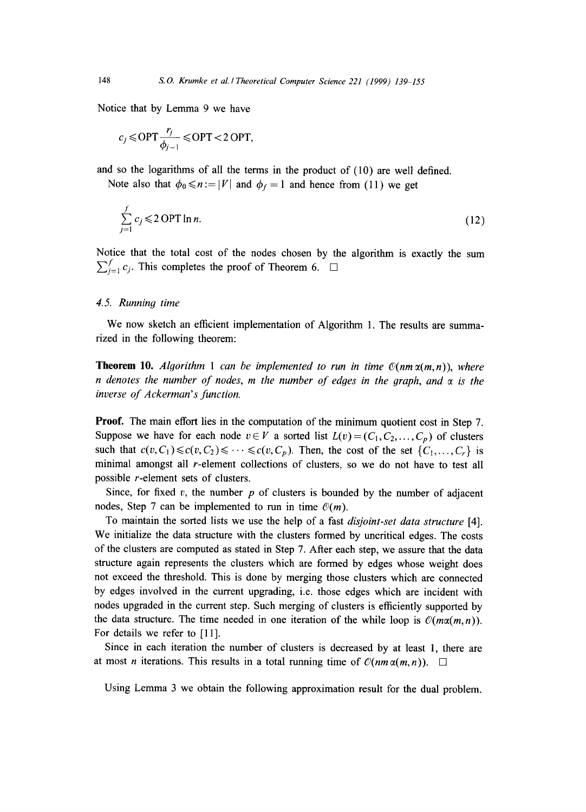Notice that by Lemma 9 we have

$$
c_j \le \text{OPT} \frac{r_j}{\phi_{j-1}} \le \text{OPT} < 2 \text{ OPT},
$$

and so the logarithms of all the terms in the product of (10) are well defined. Note also that  $\phi_0 \le n := |V|$  and  $\phi_f = 1$  and hence from (11) we get

$$
\sum_{j=1}^{f} c_j \leqslant 2 \text{OPT} \ln n. \tag{12}
$$

Notice that the total cost of the nodes chosen by the algorithm is exactly the sum  $\sum_{i=1}^{J} c_i$ . This completes the proof of Theorem 6.  $\Box$ 

### *4.5. Running time*

We now sketch an efficient implementation of Algorithm 1. The results are summarized in the following theorem:

**Theorem 10.** *Algorithm 1 can be implemented to run in time*  $\mathcal{O}(nm\alpha(m,n))$ *, where n* denotes the number of nodes, m the number of edges in the graph, and  $\alpha$  is the *inverse of Ackerman's function.* 

**Proof.** The main effort lies in the computation of the minimum quotient cost in Step 7. Suppose we have for each node  $v \in V$  a sorted list  $L(v) = (C_1, C_2, \ldots, C_p)$  of clusters such that  $c(v, C_1) \leq c(v, C_2) \leq \cdots \leq c(v, C_p)$ . Then, the cost of the set  $\{C_1, \ldots, C_r\}$  is minimal amongst all r-element collections of clusters, so we do not have to test all possible r-element sets of clusters.

Since, for fixed v, the number p of clusters is bounded by the number of adjacent nodes, Step 7 can be implemented to run in time  $O(m)$ .

To maintain the sorted lists we use the help of a fast *disjoint-set data structure* [4]. We initialize the data structure with the clusters formed by uncritical edges. The costs of the clusters are computed as stated in Step 7. After each step, we assure that the data structure again represents the clusters which are formed by edges whose weight does not exceed the threshold. This is done by merging those clusters which are connected by edges involved in the current upgrading, i.e. those edges which are incident with nodes upgraded in the current step. Such merging of clusters is efficiently supported by the data structure. The time needed in one iteration of the while loop is  $\mathcal{O}(m\alpha(m,n))$ . For details we refer to [11].

Since in each iteration the number of clusters is decreased by at least 1, there are at most *n* iterations. This results in a total running time of  $\mathcal{O}(nm\alpha(m,n))$ .  $\Box$ 

Using Lemma 3 we obtain the following approximation result for the dual problem.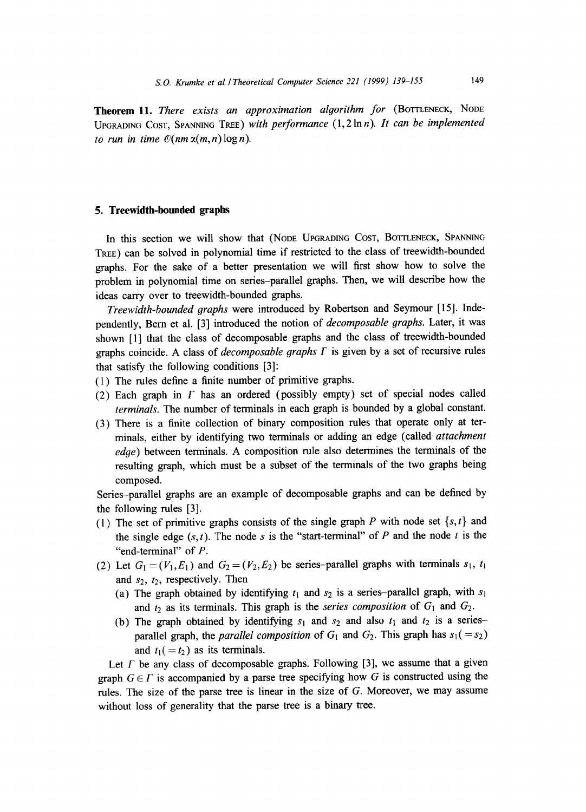**Theorem 11.** *There exists an approximation algorithm for* (BOTTLENECK, NODE UPGRADING COST, SPANNING TREE) with performance (1,2lnn). It can be implemented *to run in time*  $O(nm \alpha(m,n) \log n)$ *.* 

#### **5. Treewidth-bounded graphs**

In this section we will show that (NODE UPGRADING COST, BOTTLENECK, SPANNING TREE) can be solved in polynomial time if restricted to the class of treewidth-bounded graphs. For the sake of a better presentation we will first show how to solve the problem in polynomial time on series-parallel graphs. Then, we will describe how the ideas carry over to treewidth-bounded graphs.

*Treewidth-bounded graphs* were introduced by Robertson and Seymour [15]. Independently, Bern et al. [3] introduced the notion of *decomposable graphs.* Later, it was shown [1] that the class of decomposable graphs and the class of treewidth-bounded graphs coincide. A class of *decomposable graphs F* is given by a set of recursive rules that satisfy the following conditions [3]:

- (1) The rules define a finite number of primitive graphs.
- (2) Each graph in  $\Gamma$  has an ordered (possibly empty) set of special nodes called *terminals.* The number of terminals in each graph is bounded by a global constant.
- (3) There is a finite collection of binary composition rules that operate only at terminals, either by identifying two terminals or adding an edge (called *attachment edge)* between terminals. A composition rule also determines the terminals of the resulting graph, which must be a subset of the terminals of the two graphs being composed.

Series-parallel graphs are an example of decomposable graphs and can be defined by the following rules [3].

- (1) The set of primitive graphs consists of the single graph P with node set  $\{s, t\}$  and the single edge  $(s, t)$ . The node s is the "start-terminal" of P and the node t is the "end-terminal" of P.
- (2) Let  $G_1 = (V_1, E_1)$  and  $G_2 = (V_2, E_2)$  be series-parallel graphs with terminals  $s_1$ ,  $t_1$ and  $s_2$ ,  $t_2$ , respectively. Then
	- (a) The graph obtained by identifying  $t_1$  and  $s_2$  is a series-parallel graph, with  $s_1$ and  $t_2$  as its terminals. This graph is the *series composition* of  $G_1$  and  $G_2$ .
	- (b) The graph obtained by identifying  $s_1$  and  $s_2$  and also  $t_1$  and  $t_2$  is a seriesparallel graph, the *parallel composition* of  $G_1$  and  $G_2$ . This graph has  $s_1 (= s_2)$ and  $t_1( = t_2)$  as its terminals.

Let  $\Gamma$  be any class of decomposable graphs. Following [3], we assume that a given graph  $G \in \Gamma$  is accompanied by a parse tree specifying how G is constructed using the rules. The size of the parse tree is linear in the size of G. Moreover, we may assume without loss of generality that the parse tree is a binary tree.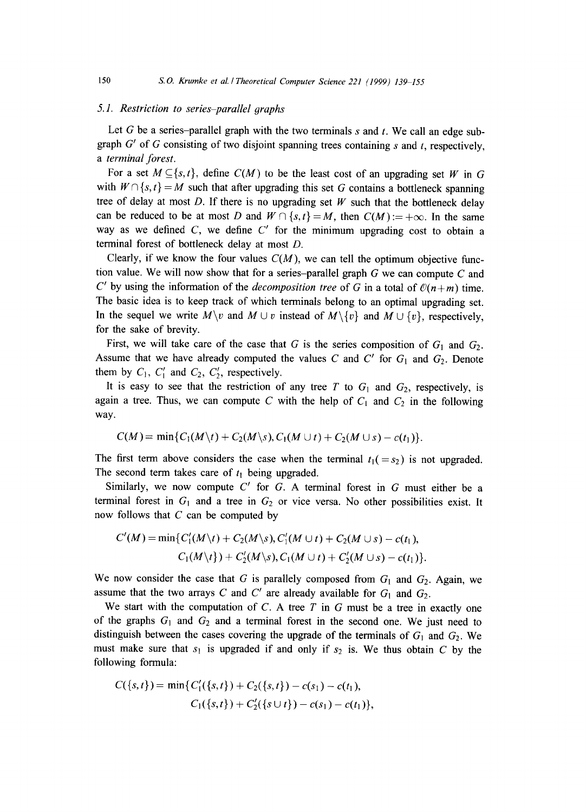### 5.1. Restriction to series-parallel graphs

Let G be a series-parallel graph with the two terminals  $s$  and  $t$ . We call an edge subgraph  $G'$  of G consisting of two disjoint spanning trees containing s and t, respectively, *a terminal forest.* 

For a set  $M \subseteq \{s, t\}$ , define  $C(M)$  to be the least cost of an upgrading set W in G with  $W \cap \{s, t\} = M$  such that after upgrading this set G contains a bottleneck spanning tree of delay at most D. If there is no upgrading set  $W$  such that the bottleneck delay can be reduced to be at most D and  $W \cap \{s,t\} = M$ , then  $C(M) := +\infty$ . In the same way as we defined  $C$ , we define  $C'$  for the minimum upgrading cost to obtain a terminal forest of bottleneck delay at most D.

Clearly, if we know the four values  $C(M)$ , we can tell the optimum objective function value. We will now show that for a series-parallel graph  $G$  we can compute  $C$  and C' by using the information of the *decomposition tree* of G in a total of  $\mathcal{O}(n+m)$  time. The basic idea is to keep track of which terminals belong to an optimal upgrading set. In the sequel we write  $M\setminus v$  and  $M\cup v$  instead of  $M\setminus\{v\}$  and  $M\cup\{v\}$ , respectively, for the sake of brevity.

First, we will take care of the case that G is the series composition of  $G_1$  and  $G_2$ . Assume that we have already computed the values C and  $C'$  for  $G_1$  and  $G_2$ . Denote them by  $C_1$ ,  $C'_1$  and  $C_2$ ,  $C'_2$ , respectively.

It is easy to see that the restriction of any tree T to  $G_1$  and  $G_2$ , respectively, is again a tree. Thus, we can compute C with the help of  $C_1$  and  $C_2$  in the following way.

$$
C(M) = \min\{C_1(M\backslash t) + C_2(M\backslash s), C_1(M\cup t) + C_2(M\cup s) - c(t_1)\}.
$$

The first term above considers the case when the terminal  $t_1 (= s_2)$  is not upgraded. The second term takes care of  $t_1$  being upgraded.

Similarly, we now compute  $C'$  for  $G$ . A terminal forest in  $G$  must either be a terminal forest in  $G_1$  and a tree in  $G_2$  or vice versa. No other possibilities exist. It now follows that  $C$  can be computed by

$$
C'(M) = \min\{C'_1(M\setminus t) + C_2(M\setminus s), C'_1(M\cup t) + C_2(M\cup s) - c(t_1),
$$
  

$$
C_1(M\setminus t) + C'_2(M\setminus s), C_1(M\cup t) + C'_2(M\cup s) - c(t_1)\}.
$$

We now consider the case that G is parallely composed from  $G_1$  and  $G_2$ . Again, we assume that the two arrays C and C' are already available for  $G_1$  and  $G_2$ .

We start with the computation of  $C$ . A tree  $T$  in  $G$  must be a tree in exactly one of the graphs  $G_1$  and  $G_2$  and a terminal forest in the second one. We just need to distinguish between the cases covering the upgrade of the terminals of  $G_1$  and  $G_2$ . We must make sure that  $s_1$  is upgraded if and only if  $s_2$  is. We thus obtain C by the following formula:

$$
C({s,t}) = min{C'_{1}({s,t}) + C_{2}({s,t}) - c(s_{1}) - c(t_{1}),
$$
  
\n
$$
C_{1}({s,t}) + C'_{2}({s \cup t}) - c(s_{1}) - c(t_{1}),
$$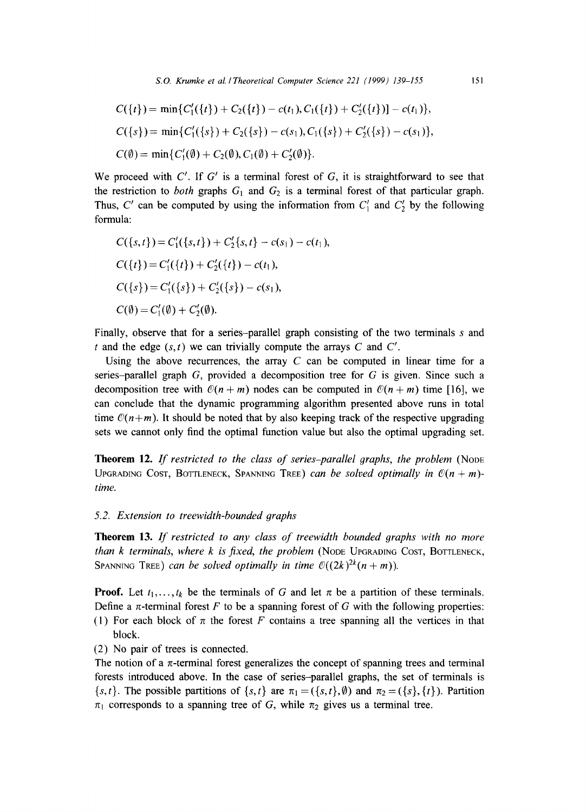$$
C({t}) = min{C'_{1}({t}) + C_{2}({t}) - c(t_{1}), C_{1}({t}) + C'_{2}({t})] - c(t_{1})},
$$
  
\n
$$
C({s}) = min{C'_{1}({s}) + C_{2}({s}) - c(s_{1}), C_{1}({s}) + C'_{2}({s}) - c(s_{1})},
$$
  
\n
$$
C(\emptyset) = min{C'_{1}(\emptyset) + C_{2}(\emptyset), C_{1}(\emptyset) + C'_{2}(\emptyset)}.
$$

We proceed with  $C'$ . If  $G'$  is a terminal forest of G, it is straightforward to see that the restriction to *both* graphs  $G_1$  and  $G_2$  is a terminal forest of that particular graph. Thus, C' can be computed by using the information from  $C_1'$  and  $C_2'$  by the following formula:

$$
C({s,t}) = C'_{1}({s,t}) + C'_{2}{s,t} - c(s_{1}) - c(t_{1}),
$$
  
\n
$$
C({t}) = C'_{1}({t}) + C'_{2}({t}) - c(t_{1}),
$$
  
\n
$$
C({s}) = C'_{1}({s}) + C'_{2}({s}) - c(s_{1}),
$$
  
\n
$$
C(\emptyset) = C'_{1}(\emptyset) + C'_{2}(\emptyset).
$$

Finally, observe that for a series-parallel graph consisting of the two terminals s and t and the edge  $(s, t)$  we can trivially compute the arrays C and C'.

Using the above recurrences, the array  $C$  can be computed in linear time for a series-parallel graph  $G$ , provided a decomposition tree for  $G$  is given. Since such a decomposition tree with  $\mathcal{O}(n + m)$  nodes can be computed in  $\mathcal{O}(n + m)$  time [16], we can conclude that the dynamic programming algorithm presented above runs in total time  $\mathcal{O}(n+m)$ . It should be noted that by also keeping track of the respective upgrading sets we cannot only find the optimal function value but also the optimal upgrading set.

Theorem 12. If restricted to the class of series-parallel graphs, the problem (NODE UPGRADING COST, BOTTLENECK, SPANNING TREE) *can be solved optimally in*  $\mathcal{O}(n + m)$ *time.* 

# *5.2. Extension to treewidth-bounded graphs*

**Theorem** 13. *If restricted to any class of treewidth bounded graphs with no more than k terminals, where k is fixed, the problem* (NODE UPGRADING COST, BOTTLENECK, SPANNING TREE) *can be solved optimally in time*  $O((2k)^{2k}(n+m))$ .

**Proof.** Let  $t_1, \ldots, t_k$  be the terminals of G and let  $\pi$  be a partition of these terminals. Define a  $\pi$ -terminal forest F to be a spanning forest of G with the following properties: (1) For each block of  $\pi$  the forest F contains a tree spanning all the vertices in that

(2) No pair of trees is connected.

block.

The notion of a  $\pi$ -terminal forest generalizes the concept of spanning trees and terminal forests introduced above. In the case of series-parallel graphs, the set of terminals is  $\{s, t\}$ . The possible partitions of  $\{s, t\}$  are  $\pi_1 = (\{s, t\}, \emptyset)$  and  $\pi_2 = (\{s\}, \{t\})$ . Partition  $\pi_1$  corresponds to a spanning tree of G, while  $\pi_2$  gives us a terminal tree.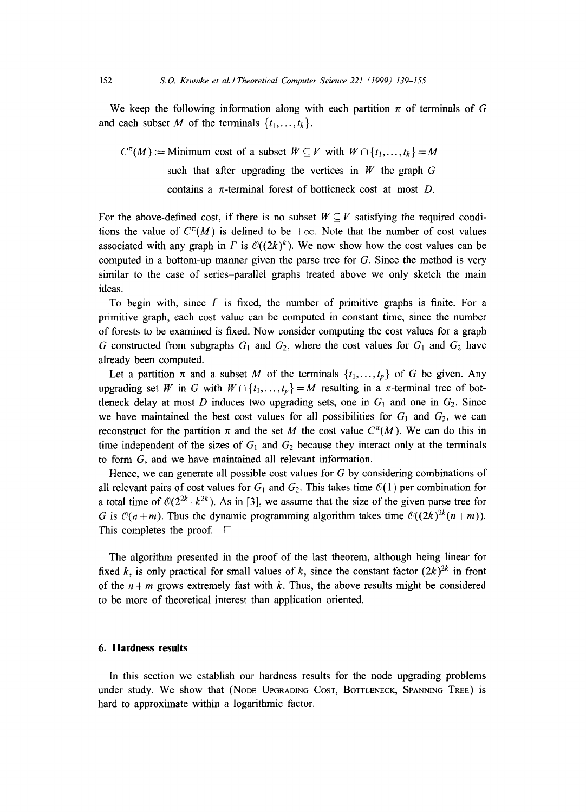We keep the following information along with each partition  $\pi$  of terminals of G and each subset M of the terminals  $\{t_1, \ldots, t_k\}$ .

 $C^{\pi}(M) :=$  Minimum cost of a subset  $W \subseteq V$  with  $W \cap \{t_1, \ldots, t_k\} = M$ such that after upgrading the vertices in  $W$  the graph  $G$ contains a  $\pi$ -terminal forest of bottleneck cost at most *D*.

For the above-defined cost, if there is no subset  $W \subseteq V$  satisfying the required conditions the value of  $C^{\pi}(M)$  is defined to be  $+\infty$ . Note that the number of cost values associated with any graph in  $\Gamma$  is  $O((2k)^k)$ . We now show how the cost values can be computed in a bottom-up manner given the parse tree for  $G$ . Since the method is very similar to the case of series-parallel graphs treated above we only sketch the main ideas.

To begin with, since  $\Gamma$  is fixed, the number of primitive graphs is finite. For a primitive graph, each cost value can be computed in constant time, since the number of forests to be examined is fixed. Now consider computing the cost values for a graph G constructed from subgraphs  $G_1$  and  $G_2$ , where the cost values for  $G_1$  and  $G_2$  have already been computed.

Let a partition  $\pi$  and a subset M of the terminals  $\{t_1, \ldots, t_p\}$  of G be given. Any upgrading set W in G with  $W \cap \{t_1, \ldots, t_p\} = M$  resulting in a  $\pi$ -terminal tree of bottleneck delay at most D induces two upgrading sets, one in  $G_1$  and one in  $G_2$ . Since we have maintained the best cost values for all possibilities for  $G_1$  and  $G_2$ , we can reconstruct for the partition  $\pi$  and the set M the cost value  $C^{\pi}(M)$ . We can do this in time independent of the sizes of  $G_1$  and  $G_2$  because they interact only at the terminals to form G, and we have maintained all relevant information.

Hence, we can generate all possible cost values for G by considering combinations of all relevant pairs of cost values for  $G_1$  and  $G_2$ . This takes time  $\mathcal{O}(1)$  per combination for a total time of  $O(2^{2k} \cdot k^{2k})$ . As in [3], we assume that the size of the given parse tree for G is  $\mathcal{O}(n+m)$ . Thus the dynamic programming algorithm takes time  $\mathcal{O}((2k)^{2k}(n+m))$ . This completes the proof.  $\Box$ 

The algorithm presented in the proof of the last theorem, although being linear for fixed k, is only practical for small values of k, since the constant factor  $(2k)^{2k}$  in front of the  $n + m$  grows extremely fast with k. Thus, the above results might be considered to be more of theoretical interest than application oriented.

# **6. Hardness results**

In this section we establish our hardness results for the node upgrading problems under study. We show that (NODE UPGRADING COST, BOTTLENECK, SPANNING TREE) is hard to approximate within a logarithmic factor.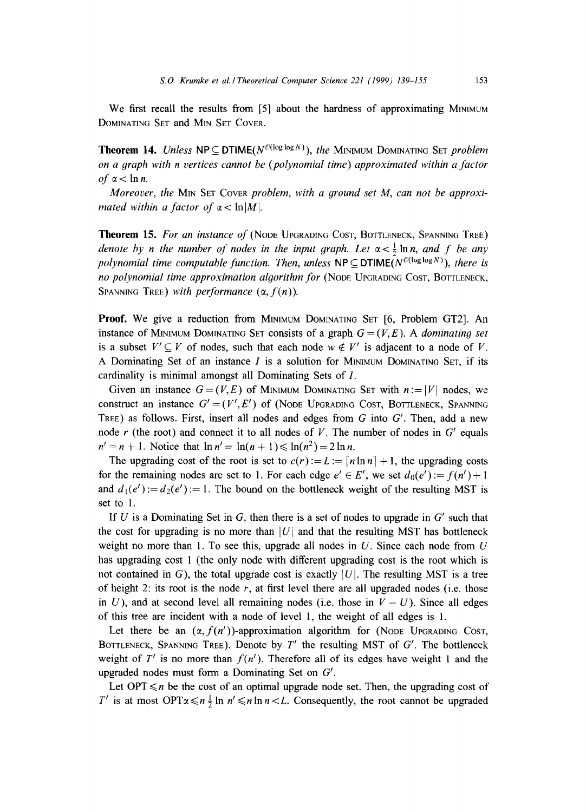We first recall the results from [5] about the hardness of approximating MINIMUM DOMINATING SET and MIN SET COVER.

**Theorem 14.** *Unless*  $NP \subseteq DTIME(N^{\mathcal{O}(\log \log N)})$ , *the MINIMUM DOMINATING SET problem on a graph with n vertices cannot be (polynomial time) approximated within a factor*   $of \alpha < \ln n$ .

*Moreover, the MIN SET Cover problem, with a ground set M, can not be approximated within a factor of*  $\alpha$  < ln |M|.

**Theorem 15.** For an instance of (NODE UPGRADING COST, BOTTLENECK, SPANNING TREE) *denote by n the number of nodes in the input graph. Let*  $\alpha < \frac{1}{2}$  ln *n, and f be any polynomial time computable function. Then, unless*  $NP \subseteq DTIME(N^{\mathcal{O}(\log \log N)})$ , there is *no polynomial time approximation algorithm for* (NODE UPGRADING COST, BOTTLENECK, SPANNING TREE) *with performance*  $(\alpha, f(n))$ .

**Proof.** We give a reduction from MINIMUM DOMINATING SET 16, Problem GT21. An instance of MINIMUM DOMINATING SET consists of a graph  $G=(V,E)$ . A *dominating set* is a subset  $V' \subseteq V$  of nodes, such that each node  $w \notin V'$  is adjacent to a node of V. A Dominating Set of an instance  $I$  is a solution for MINIMUM DOMINATING SET, if its cardinality is minimal amongst all Dominating Sets of I.

Given an instance  $G=(V, E)$  of MINIMUM DOMINATING SET with  $n := |V|$  nodes, we construct an instance  $G' = (V', E')$  of (Node Upgrading Cost, Bottleneck, Spanning TREE) as follows. First, insert all nodes and edges from  $G$  into  $G'$ . Then, add a new node r (the root) and connect it to all nodes of V. The number of nodes in  $G'$  equals  $n' = n + 1$ . Notice that  $\ln n' = \ln(n + 1) \le \ln(n^2) = 2 \ln n$ .

The upgrading cost of the root is set to  $c(r) := L := [n \ln n] + 1$ , the upgrading costs for the remaining nodes are set to 1. For each edge  $e' \in E'$ , we set  $d_0(e') := f(n') + 1$ and  $d_1(e') := d_2(e') := 1$ . The bound on the bottleneck weight of the resulting MST is set to 1.

If U is a Dominating Set in G, then there is a set of nodes to upgrade in  $G'$  such that the cost for upgrading is no more than  $|U|$  and that the resulting MST has bottleneck weight no more than 1. To see this, upgrade all nodes in  $U$ . Since each node from  $U$ has upgrading cost 1 (the only node with different upgrading cost is the root which is not contained in G), the total upgrade cost is exactly  $|U|$ . The resulting MST is a tree of height 2: its root is the node  $r$ , at first level there are all upgraded nodes (i.e. those in  $U$ ), and at second level all remaining nodes (i.e. those in  $V - U$ ). Since all edges of this tree are incident with a node of level 1, the weight of all edges is 1.

Let there be an  $(\alpha, f(n'))$ -approximation algorithm for (NODE UPGRADING COST, BOTTLENECK, SPANNING TREE). Denote by *T'* the resulting MST of *G'*. The bottleneck weight of  $T'$  is no more than  $f(n')$ . Therefore all of its edges have weight 1 and the upgraded nodes must form a Dominating Set on  $G'$ .

Let OPT  $\leq n$  be the cost of an optimal upgrade node set. Then, the upgrading cost of T' is at most OPT $\alpha \le n \frac{1}{2} \ln n' \le n \ln n < L$ . Consequently, the root cannot be upgraded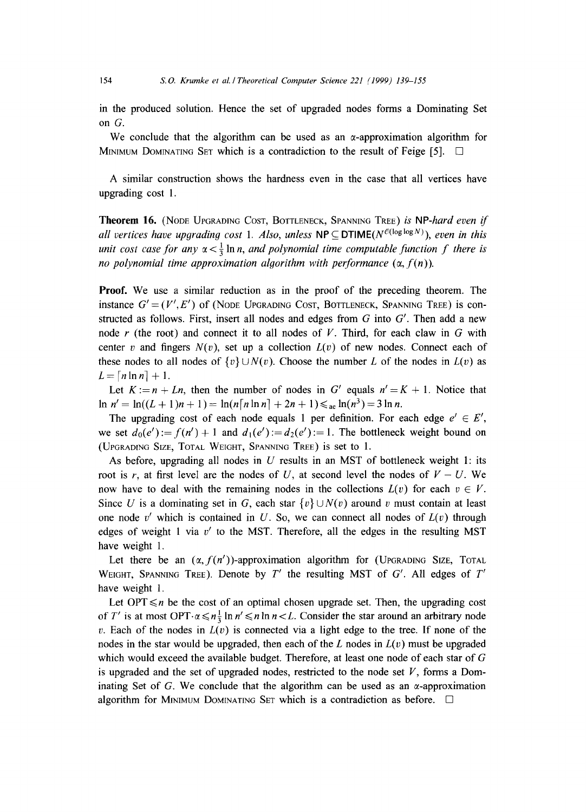in the produced solution. Hence the set of upgraded nodes forms a Dominating Set on G.

We conclude that the algorithm can be used as an  $\alpha$ -approximation algorithm for MINIMUM DOMINATING SET which is a contradiction to the result of Feige [5].  $\square$ 

A similar construction shows the hardness even in the case that all vertices have upgrading cost 1.

Theorem 16. (NODE UPGRADING COST, BOTTLENECK, SPANNING TREE) *is NP-hard even if all vertices have upgrading cost 1. Also, unless*  $NP \subseteq DTIME(N^{\mathcal{O}(\log \log N)})$ , *even in this unit cost case for any*  $\alpha < \frac{1}{3}$  ln *n, and polynomial time computable function f there is no polynomial time approximation algorithm with performance*  $(\alpha, f(n))$ .

**Proof.** We use a similar reduction as in the proof of the preceding theorem. The instance  $G' = (V', E')$  of (Node Upgrading Cost, Bottleneck, Spanning Tree) is constructed as follows. First, insert all nodes and edges from  $G$  into  $G'$ . Then add a new node  $r$  (the root) and connect it to all nodes of  $V$ . Third, for each claw in  $G$  with center v and fingers  $N(v)$ , set up a collection  $L(v)$  of new nodes. Connect each of these nodes to all nodes of  $\{v\} \cup N(v)$ . Choose the number L of the nodes in  $L(v)$  as  $L = [n \ln n] + 1.$ 

Let  $K := n + Ln$ , then the number of nodes in G' equals  $n' = K + 1$ . Notice that  $\ln n' = \ln((L + 1)n + 1) = \ln(n \lceil n \ln n \rceil + 2n + 1) \leq \text{Re} \ln(n^3) = 3 \ln n.$ 

The upgrading cost of each node equals 1 per definition. For each edge  $e' \in E'$ , we set  $d_0(e') := f(n') + 1$  and  $d_1(e') := d_2(e') := 1$ . The bottleneck weight bound on (UPGRADING SIZE, TOTAL WEIGHT, SPANNING TREE) is set to 1.

As before, upgrading all nodes in  $U$  results in an MST of bottleneck weight 1: its root is r, at first level are the nodes of U, at second level the nodes of  $V - U$ . We now have to deal with the remaining nodes in the collections  $L(v)$  for each  $v \in V$ . Since U is a dominating set in G, each star  $\{v\} \cup N(v)$  around v must contain at least one node v' which is contained in U. So, we can connect all nodes of  $L(v)$  through edges of weight 1 via  $v'$  to the MST. Therefore, all the edges in the resulting MST have weight 1.

Let there be an  $(\alpha, f(n'))$ -approximation algorithm for (UPGRADING SIZE, TOTAL WEIGHT, SPANNING TREE). Denote by  $T'$  the resulting MST of G'. All edges of  $T'$ have weight 1.

Let OPT  $\leq n$  be the cost of an optimal chosen upgrade set. Then, the upgrading cost of T' is at most OPT $\alpha \le n \frac{1}{2} \ln n' \le n \ln n < L$ . Consider the star around an arbitrary node v. Each of the nodes in  $L(v)$  is connected via a light edge to the tree. If none of the nodes in the star would be upgraded, then each of the  $L$  nodes in  $L(v)$  must be upgraded which would exceed the available budget. Therefore, at least one node of each star of G is upgraded and the set of upgraded nodes, restricted to the node set  $V$ , forms a Dominating Set of G. We conclude that the algorithm can be used as an  $\alpha$ -approximation algorithm for MINIMUM DOMINATING SET which is a contradiction as before.  $\Box$